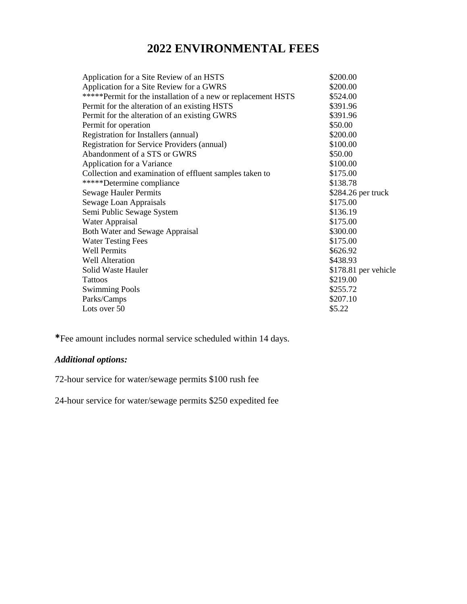# **2022 ENVIRONMENTAL FEES**

| \$200.00             |
|----------------------|
| \$200.00             |
| \$524.00             |
| \$391.96             |
| \$391.96             |
| \$50.00              |
| \$200.00             |
| \$100.00             |
| \$50.00              |
| \$100.00             |
| \$175.00             |
| \$138.78             |
| \$284.26 per truck   |
| \$175.00             |
| \$136.19             |
| \$175.00             |
| \$300.00             |
| \$175.00             |
| \$626.92             |
| \$438.93             |
| \$178.81 per vehicle |
| \$219.00             |
| \$255.72             |
| \$207.10             |
| \$5.22               |
|                      |

**\***Fee amount includes normal service scheduled within 14 days.

## *Additional options:*

72-hour service for water/sewage permits \$100 rush fee

24-hour service for water/sewage permits \$250 expedited fee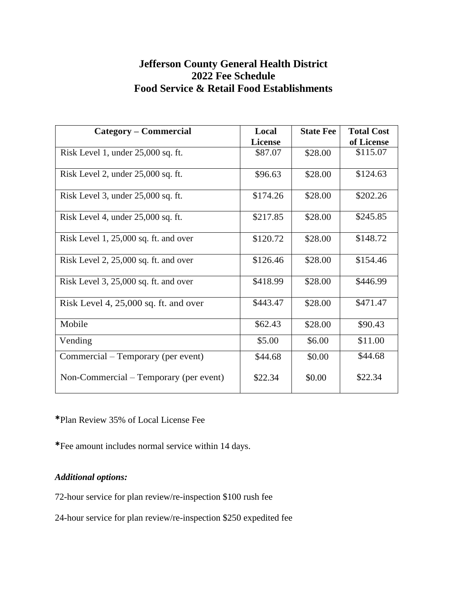## **Jefferson County General Health District 2022 Fee Schedule Food Service & Retail Food Establishments**

| <b>Category – Commercial</b>            | Local          | <b>State Fee</b> | <b>Total Cost</b> |
|-----------------------------------------|----------------|------------------|-------------------|
|                                         | <b>License</b> |                  | of License        |
| Risk Level 1, under 25,000 sq. ft.      | \$87.07        | \$28.00          | \$115.07          |
| Risk Level 2, under 25,000 sq. ft.      | \$96.63        | \$28.00          | \$124.63          |
| Risk Level 3, under 25,000 sq. ft.      | \$174.26       | \$28.00          | \$202.26          |
| Risk Level 4, under 25,000 sq. ft.      | \$217.85       | \$28.00          | \$245.85          |
| Risk Level 1, 25,000 sq. ft. and over   | \$120.72       | \$28.00          | \$148.72          |
| Risk Level $2, 25,000$ sq. ft. and over | \$126.46       | \$28.00          | \$154.46          |
| Risk Level 3, 25,000 sq. ft. and over   | \$418.99       | \$28.00          | \$446.99          |
| Risk Level 4, $25,000$ sq. ft. and over | \$443.47       | \$28.00          | \$471.47          |
| Mobile                                  | \$62.43        | \$28.00          | \$90.43           |
| Vending                                 | \$5.00         | \$6.00           | \$11.00           |
| Commercial – Temporary (per event)      | \$44.68        | \$0.00           | \$44.68           |
| Non-Commercial – Temporary (per event)  | \$22.34        | \$0.00           | \$22.34           |

**\***Plan Review 35% of Local License Fee

**\***Fee amount includes normal service within 14 days.

### *Additional options:*

72-hour service for plan review/re-inspection \$100 rush fee

24-hour service for plan review/re-inspection \$250 expedited fee